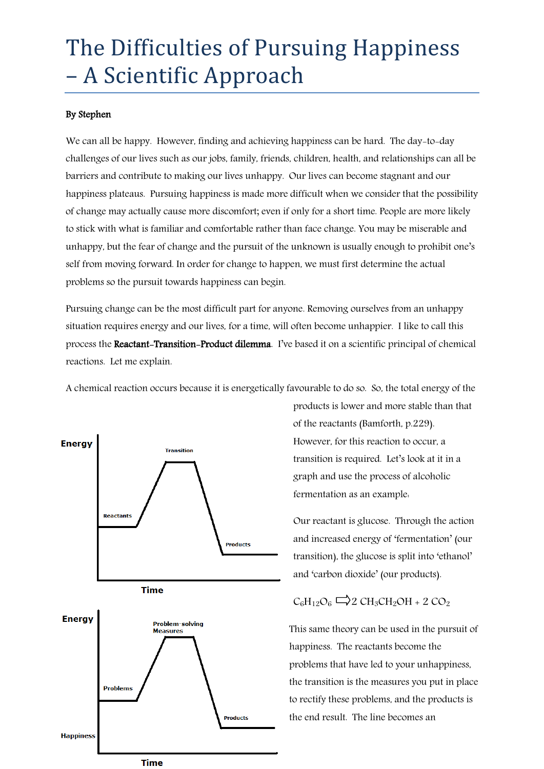## The Difficulties of Pursuing Happiness – A Scientific Approach

## By Stephen

We can all be happy. However, finding and achieving happiness can be hard. The day-to-day challenges of our lives such as our jobs, family, friends, children, health, and relationships can all be barriers and contribute to making our lives unhappy. Our lives can become stagnant and our happiness plateaus. Pursuing happiness is made more difficult when we consider that the possibility of change may actually cause more discomfort; even if only for a short time. People are more likely to stick with what is familiar and comfortable rather than face change. You may be miserable and unhappy, but the fear of change and the pursuit of the unknown is usually enough to prohibit one's self from moving forward. In order for change to happen, we must first determine the actual problems so the pursuit towards happiness can begin.

Pursuing change can be the most difficult part for anyone. Removing ourselves from an unhappy situation requires energy and our lives, for a time, will often become unhappier. I like to call this process the Reactant-Transition-Product dilemma. I've based it on a scientific principal of chemical reactions. Let me explain.

A chemical reaction occurs because it is energetically favourable to do so. So, the total energy of the



products is lower and more stable than that of the reactants (Bamforth, p.229). However, for this reaction to occur, a transition is required. Let's look at it in a graph and use the process of alcoholic fermentation as an example:

Our reactant is glucose. Through the action and increased energy of 'fermentation' (our transition), the glucose is split into 'ethanol' and 'carbon dioxide' (our products).

$$
C_6H_{12}O_6 \longrightarrow 2 CH_3CH_2OH + 2 CO_2
$$

This same theory can be used in the pursuit of happiness. The reactants become the problems that have led to your unhappiness, the transition is the measures you put in place to rectify these problems, and the products is the end result. The line becomes an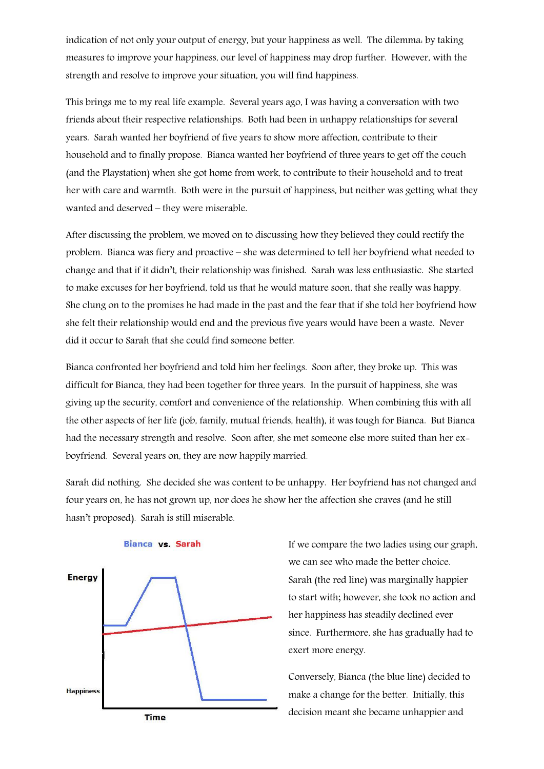indication of not only your output of energy, but your happiness as well. The dilemma: by taking measures to improve your happiness, our level of happiness may drop further. However, with the strength and resolve to improve your situation, you will find happiness.

This brings me to my real life example. Several years ago, I was having a conversation with two friends about their respective relationships. Both had been in unhappy relationships for several years. Sarah wanted her boyfriend of five years to show more affection, contribute to their household and to finally propose. Bianca wanted her boyfriend of three years to get off the couch (and the Playstation) when she got home from work, to contribute to their household and to treat her with care and warmth. Both were in the pursuit of happiness, but neither was getting what they wanted and deserved – they were miserable.

After discussing the problem, we moved on to discussing how they believed they could rectify the problem. Bianca was fiery and proactive – she was determined to tell her boyfriend what needed to change and that if it didn't, their relationship was finished. Sarah was less enthusiastic. She started to make excuses for her boyfriend, told us that he would mature soon, that she really was happy. She clung on to the promises he had made in the past and the fear that if she told her boyfriend how she felt their relationship would end and the previous five years would have been a waste. Never did it occur to Sarah that she could find someone better.

Bianca confronted her boyfriend and told him her feelings. Soon after, they broke up. This was difficult for Bianca, they had been together for three years. In the pursuit of happiness, she was giving up the security, comfort and convenience of the relationship. When combining this with all the other aspects of her life (job, family, mutual friends, health), it was tough for Bianca. But Bianca had the necessary strength and resolve. Soon after, she met someone else more suited than her exboyfriend. Several years on, they are now happily married.

Sarah did nothing. She decided she was content to be unhappy. Her boyfriend has not changed and four years on, he has not grown up, nor does he show her the affection she craves (and he still hasn't proposed). Sarah is still miserable.



## Bianca vs. Sarah

If we compare the two ladies using our graph, we can see who made the better choice. Sarah (the red line) was marginally happier to start with; however, she took no action and her happiness has steadily declined ever since. Furthermore, she has gradually had to exert more energy.

Conversely, Bianca (the blue line) decided to make a change for the better. Initially, this decision meant she became unhappier and